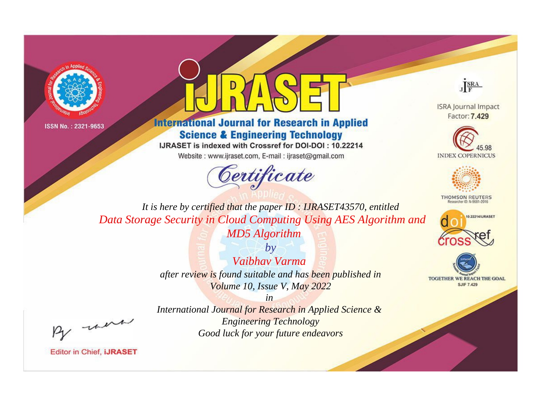



**International Journal for Research in Applied Science & Engineering Technology** 

IJRASET is indexed with Crossref for DOI-DOI: 10.22214

Website: www.ijraset.com, E-mail: ijraset@gmail.com



JERA

**ISRA Journal Impact** Factor: 7.429





**THOMSON REUTERS** 



TOGETHER WE REACH THE GOAL **SJIF 7.429** 

It is here by certified that the paper ID: IJRASET43570, entitled Data Storage Security in Cloud Computing Using AES Algorithm and **MD5** Algorithm

> $b\nu$ Vaibhay Varma after review is found suitable and has been published in Volume 10, Issue V, May 2022

were

International Journal for Research in Applied Science & **Engineering Technology** Good luck for your future endeavors

 $in$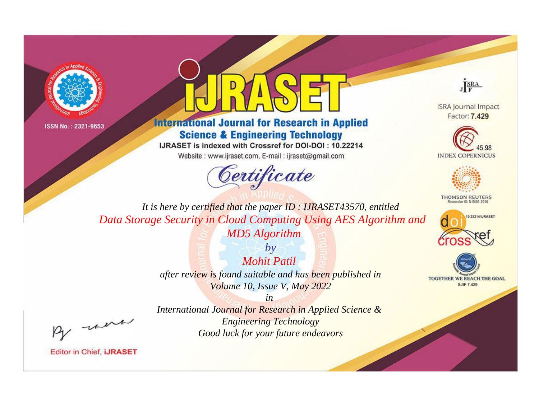



**International Journal for Research in Applied Science & Engineering Technology** 

IJRASET is indexed with Crossref for DOI-DOI: 10.22214

Website: www.ijraset.com, E-mail: ijraset@gmail.com



JERA

**ISRA Journal Impact** Factor: 7.429





**THOMSON REUTERS** 



TOGETHER WE REACH THE GOAL **SJIF 7.429** 

It is here by certified that the paper ID: IJRASET43570, entitled Data Storage Security in Cloud Computing Using AES Algorithm and **MD5** Algorithm

> $b\nu$ **Mohit Patil** after review is found suitable and has been published in Volume 10, Issue V, May 2022

were

International Journal for Research in Applied Science & **Engineering Technology** Good luck for your future endeavors

 $in$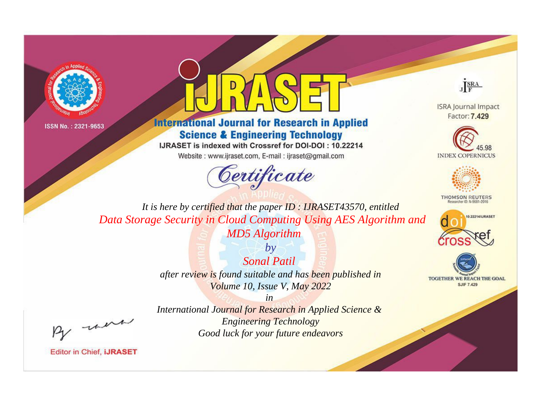



**International Journal for Research in Applied Science & Engineering Technology** 

IJRASET is indexed with Crossref for DOI-DOI: 10.22214

Website: www.ijraset.com, E-mail: ijraset@gmail.com



JERA

**ISRA Journal Impact** Factor: 7.429





**THOMSON REUTERS** 



TOGETHER WE REACH THE GOAL **SJIF 7.429** 

It is here by certified that the paper ID: IJRASET43570, entitled Data Storage Security in Cloud Computing Using AES Algorithm and **MD5** Algorithm

> $b\nu$ **Sonal Patil** after review is found suitable and has been published in Volume 10, Issue V, May 2022

were

International Journal for Research in Applied Science & **Engineering Technology** Good luck for your future endeavors

 $in$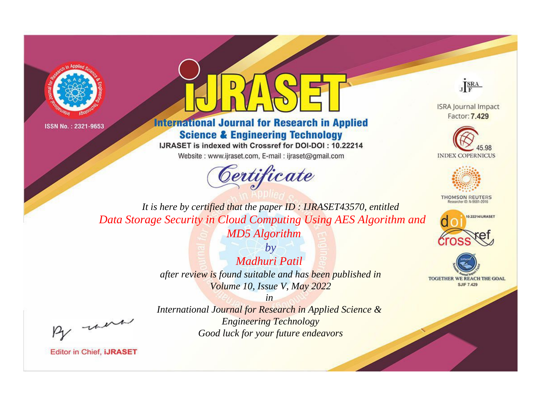



## **International Journal for Research in Applied Science & Engineering Technology**

IJRASET is indexed with Crossref for DOI-DOI: 10.22214

Website: www.ijraset.com, E-mail: ijraset@gmail.com



JERA

**ISRA Journal Impact** Factor: 7.429





**THOMSON REUTERS** 



TOGETHER WE REACH THE GOAL **SJIF 7.429** 

It is here by certified that the paper ID: IJRASET43570, entitled Data Storage Security in Cloud Computing Using AES Algorithm and **MD5** Algorithm

> $b\nu$ Madhuri Patil after review is found suitable and has been published in Volume 10, Issue V, May 2022

> > $in$

were

International Journal for Research in Applied Science & **Engineering Technology** Good luck for your future endeavors